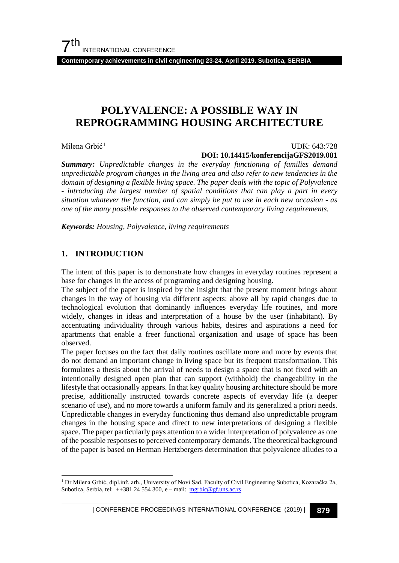**Contemporary achievements in civil engineering 23-24. April 2019. Subotica, SERBIA**

## **POLYVALENCE: A POSSIBLE WAY IN REPROGRAMMING HOUSING ARCHITECTURE**

Milena Grbić<sup>[1](#page-0-0)</sup>

#### UDK: 643:728 **DOI: 10.14415/konferencijaGFS2019.081**

*Summary: Unpredictable changes in the everyday functioning of families demand unpredictable program changes in the living area and also refer to new tendencies in the domain of designing a flexible living space. The paper deals with the topic of Polyvalence - introducing the largest number of spatial conditions that can play a part in every situation whatever the function, and can simply be put to use in each new occasion - as one of the many possible responses to the observed contemporary living requirements.*

*Keywords: Housing, Polyvalence, living requirements*

## **1. INTRODUCTION**

The intent of this paper is to demonstrate how changes in everyday routines represent a base for changes in the access of programing and designing housing.

The subject of the paper is inspired by the insight that the present moment brings about changes in the way of housing via different aspects: above all by rapid changes due to technological evolution that dominantly influences everyday life routines, and more widely, changes in ideas and interpretation of a house by the user (inhabitant). By accentuating individuality through various habits, desires and aspirations a need for apartments that enable a freer functional organization and usage of space has been observed.

The paper focuses on the fact that daily routines oscillate more and more by events that do not demand an important change in living space but its frequent transformation. This formulates a thesis about the arrival of needs to design a space that is not fixed with an intentionally designed open plan that can support (withhold) the changeability in the lifestyle that occasionally appears. In that key quality housing architecture should be more precise, additionally instructed towards concrete aspects of everyday life (a deeper scenario of use), and no more towards a uniform family and its generalized a priori needs. Unpredictable changes in everyday functioning thus demand also unpredictable program changes in the housing space and direct to new interpretations of designing a flexible space. The paper particularly pays attention to a wider interpretation of polyvalence as one of the possible responses to perceived contemporary demands. The theoretical background of the paper is based on Herman Hertzbergers determination that polyvalence alludes to a

<span id="page-0-0"></span> <sup>1</sup> Dr Milena Grbić, dipl.inž. arh., University of Novi Sad, Faculty of Civil Engineering Subotica, Kozaračka 2a, Subotica, Serbia, tel:  $+38124554300$ , e – mail: [mgrbic@gf.uns.ac.rs](mailto:mgrbic@gf.uns.ac.rs)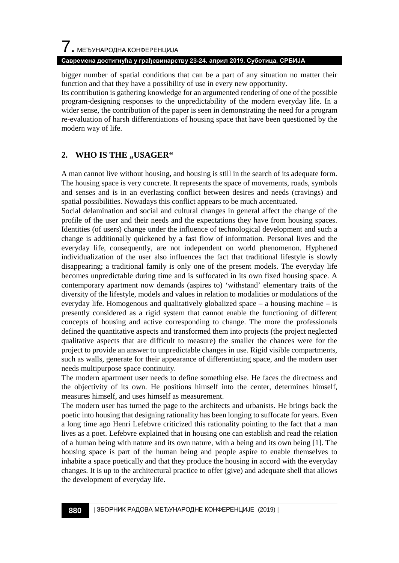# $\overline{\phantom{a}}$ . МЕЂУНАРОДНА КОНФЕРЕНЦИЈА

#### **Савремена достигнућа у грађевинарству 23-24. април 2019. Суботица, СРБИЈА**

bigger number of spatial conditions that can be a part of any situation no matter their function and that they have a possibility of use in every new opportunity.

Its contribution is gathering knowledge for an argumented rendering of one of the possible program-designing responses to the unpredictability of the modern everyday life. In a wider sense, the contribution of the paper is seen in demonstrating the need for a program re-evaluation of harsh differentiations of housing space that have been questioned by the modern way of life.

## **2. WHO IS THE ,,USAGER"**

A man cannot live without housing, and housing is still in the search of its adequate form. The housing space is very concrete. It represents the space of movements, roads, symbols and senses and is in an everlasting conflict between desires and needs (cravings) and spatial possibilities. Nowadays this conflict appears to be much accentuated.

Social delamination and social and cultural changes in general affect the change of the profile of the user and their needs and the expectations they have from housing spaces. Identities (of users) change under the influence of technological development and such a change is additionally quickened by a fast flow of information. Personal lives and the everyday life, consequently, are not independent on world phenomenon. Hyphened individualization of the user also influences the fact that traditional lifestyle is slowly disappearing; a traditional family is only one of the present models. The everyday life becomes unpredictable during time and is suffocated in its own fixed housing space. A contemporary apartment now demands (aspires to) 'withstand' elementary traits of the diversity of the lifestyle, models and values in relation to modalities or modulations of the everyday life. Homogenous and qualitatively globalized space  $-$  a housing machine  $-$  is presently considered as a rigid system that cannot enable the functioning of different concepts of housing and active corresponding to change. The more the professionals defined the quantitative aspects and transformed them into projects (the project neglected qualitative aspects that are difficult to measure) the smaller the chances were for the project to provide an answer to unpredictable changes in use. Rigid visible compartments, such as walls, generate for their appearance of differentiating space, and the modern user needs multipurpose space continuity.

The modern apartment user needs to define something else. He faces the directness and the objectivity of its own. He positions himself into the center, determines himself, measures himself, and uses himself as measurement.

The modern user has turned the page to the architects and urbanists. He brings back the poetic into housing that designing rationality has been longing to suffocate for years. Even a long time ago Henri Lefebvre criticized this rationality pointing to the fact that a man lives as a poet. Lefebvre explained that in housing one can establish and read the relation of a human being with nature and its own nature, with a being and its own being [1]. The housing space is part of the human being and people aspire to enable themselves to inhabite a space poetically and that they produce the housing in accord with the everyday changes. It is up to the architectural practice to offer (give) and adequate shell that allows the development of everyday life.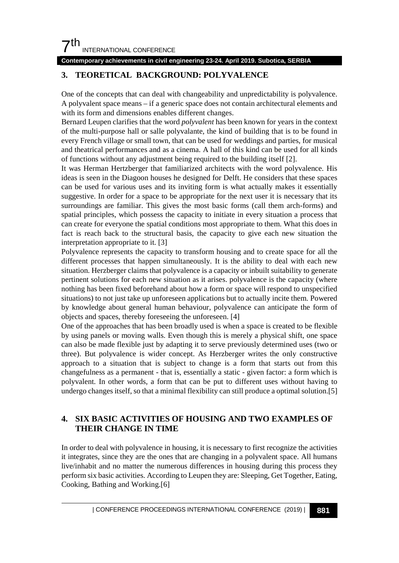## $7<sup>th</sup>$ INTERNATIONAL CONFERENCE

#### **Contemporary achievements in civil engineering 23-24. April 2019. Subotica, SERBIA**

## **3. TEORETICAL BACKGROUND: POLYVALENCE**

One of the concepts that can deal with changeability and unpredictability is polyvalence. A polyvalent space means – if a generic space does not contain architectural elements and with its form and dimensions enables different changes.

Bernard Leupen clarifies that the word *polyvalent* has been known for years in the context of the multi-purpose hall or salle polyvalante, the kind of building that is to be found in every French village or small town, that can be used for weddings and parties, for musical and theatrical performances and as a cinema. A hall of this kind can be used for all kinds of functions without any adjustment being required to the building itself [2].

It was Herman Hertzberger that familiarized architects with the word polyvalence. His ideas is seen in the Diagoon houses he designed for Delft. He considers that these spaces can be used for various uses and its inviting form is what actually makes it essentially suggestive. In order for a space to be appropriate for the next user it is necessary that its surroundings are familiar. This gives the most basic forms (call them arch-forms) and spatial principles, which possess the capacity to initiate in every situation a process that can create for everyone the spatial conditions most appropriate to them. What this does in fact is reach back to the structural basis, the capacity to give each new situation the interpretation appropriate to it. [3]

Polyvalence represents the capacity to transform housing and to create space for all the different processes that happen simultaneously. It is the ability to deal with each new situation. Herzberger claims that polyvalence is a capacity or inbuilt suitability to generate pertinent solutions for each new situation as it arises. polyvalence is the capacity (where nothing has been fixed beforehand about how a form or space will respond to unspecified situations) to not just take up unforeseen applications but to actually incite them. Powered by knowledge about general human behaviour, polyvalence can anticipate the form of objects and spaces, thereby foreseeing the unforeseen. [4]

One of the approaches that has been broadly used is when a space is created to be flexible by using panels or moving walls. Even though this is merely a physical shift, one space can also be made flexible just by adapting it to serve previously determined uses (two or three). But polyvalence is wider concept. As Herzberger writes the only constructive approach to a situation that is subject to change is a form that starts out from this changefulness as a permanent - that is, essentially a static - given factor: a form which is polyvalent. In other words, a form that can be put to different uses without having to undergo changes itself, so that a minimal flexibility can still produce a optimal solution.[5]

## **4. SIX BASIC ACTIVITIES OF HOUSING AND TWO EXAMPLES OF THEIR CHANGE IN TIME**

In order to deal with polyvalence in housing, it is necessary to first recognize the activities it integrates, since they are the ones that are changing in a polyvalent space. All humans live/inhabit and no matter the numerous differences in housing during this process they perform six basic activities. According to Leupen they are: Sleeping, Get Together, Eating, Cooking, Bathing and Working.[6]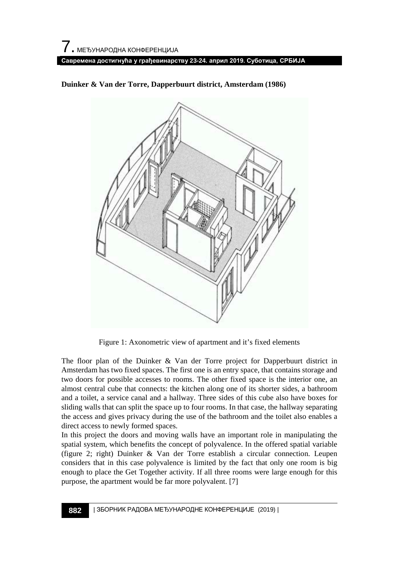

**Duinker & Van der Torre, Dapperbuurt district, Amsterdam (1986)**

Figure 1: Axonometric view of apartment and it's fixed elements

The floor plan of the Duinker & Van der Torre project for Dapperbuurt district in Amsterdam has two fixed spaces. The first one is an entry space, that contains storage and two doors for possible accesses to rooms. The other fixed space is the interior one, an almost central cube that connects: the kitchen along one of its shorter sides, a bathroom and a toilet, a service canal and a hallway. Three sides of this cube also have boxes for sliding walls that can split the space up to four rooms. In that case, the hallway separating the access and gives privacy during the use of the bathroom and the toilet also enables a direct access to newly formed spaces.

In this project the doors and moving walls have an important role in manipulating the spatial system, which benefits the concept of polyvalence. In the offered spatial variable (figure 2; right) Duinker & Van der Torre establish a circular connection. Leupen considers that in this case polyvalence is limited by the fact that only one room is big enough to place the Get Together activity. If all three rooms were large enough for this purpose, the apartment would be far more polyvalent. [7]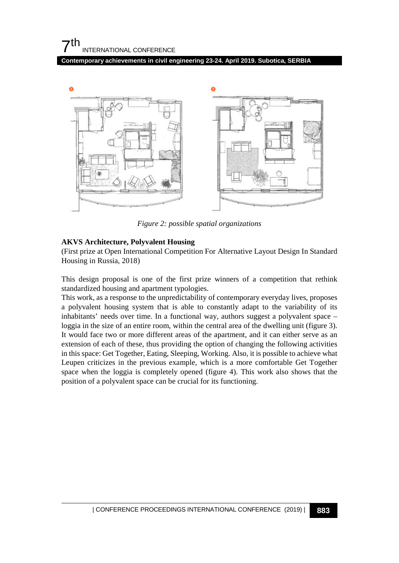**Contemporary achievements in civil engineering 23-24. April 2019. Subotica, SERBIA**



*Figure 2: possible spatial organizations*

#### **AKVS Architecture, Polyvalent Housing**

(First prize at Open International Competition For Alternative Layout Design In Standard Housing in Russia, 2018)

This design proposal is one of the first prize winners of a competition that rethink standardized housing and apartment typologies.

This work, as a response to the unpredictability of contemporary everyday lives, proposes a polyvalent housing system that is able to constantly adapt to the variability of its inhabitants' needs over time. In a functional way, authors suggest a polyvalent space – loggia in the size of an entire room, within the central area of the dwelling unit (figure 3). It would face two or more different areas of the apartment, and it can either serve as an extension of each of these, thus providing the option of changing the following activities in this space: Get Together, Eating, Sleeping, Working. Also, it is possible to achieve what Leupen criticizes in the previous example, which is a more comfortable Get Together space when the loggia is completely opened (figure 4). This work also shows that the position of a polyvalent space can be crucial for its functioning.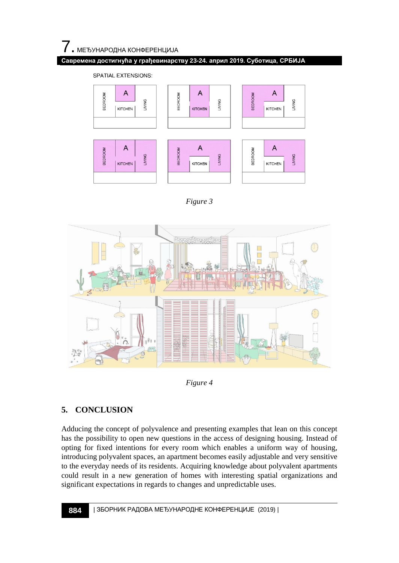#### **Савремена достигнућа у грађевинарству 23-24. април 2019. Суботица, СРБИЈА**

**SPATIAL EXTENSIONS:** 



*Figure 3*



*Figure 4*

## **5. CONCLUSION**

Adducing the concept of polyvalence and presenting examples that lean on this concept has the possibility to open new questions in the access of designing housing. Instead of opting for fixed intentions for every room which enables a uniform way of housing, introducing polyvalent spaces, an apartment becomes easily adjustable and very sensitive to the everyday needs of its residents. Acquiring knowledge about polyvalent apartments could result in a new generation of homes with interesting spatial organizations and significant expectations in regards to changes and unpredictable uses.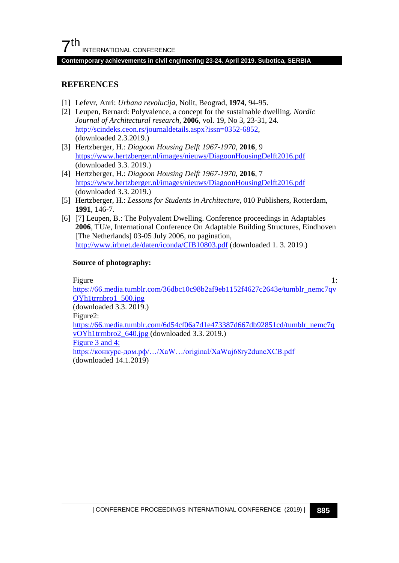#### **Contemporary achievements in civil engineering 23-24. April 2019. Subotica, SERBIA**

### **REFERENCES**

- [1] Lefevr, Anri: *Urbana revolucija*, Nolit, Beograd, **1974**, 94-95.
- [2] Leupen, Bernard: Polyvalence, a concept for the sustainable dwelling. *Nordic Journal of Architectural research*, **2006**, vol. 19, No 3, 23-31, 24. [http://scindeks.ceon.rs/journaldetails.aspx?issn=0352-6852,](http://scindeks.ceon.rs/journaldetails.aspx?issn=0352-6852) (downloaded 2.3.2019.)
- [3] Hertzberger, H.: *Diagoon Housing Delft 1967-1970*, **2016**, 9 <https://www.hertzberger.nl/images/nieuws/DiagoonHousingDelft2016.pdf> (downloaded 3.3. 2019.)
- [4] Hertzberger, H.: *Diagoon Housing Delft 1967-1970*, **2016**, 7 <https://www.hertzberger.nl/images/nieuws/DiagoonHousingDelft2016.pdf> (downloaded 3.3. 2019.)
- [5] Hertzberger, H.: *Lessons for Students in Architecture*, 010 Publishers, Rotterdam, **1991**, 146-7.
- [6] [7] Leupen, B.: The Polyvalent Dwelling. Conference proceedings in Adaptables **2006**, TU/e, International Conference On Adaptable Building Structures, Eindhoven [The Netherlands] 03-05 July 2006, no pagination, <http://www.irbnet.de/daten/iconda/CIB10803.pdf> (downloaded 1. 3. 2019.)

#### **Source of photography:**

Figure 1: [https://66.media.tumblr.com/36dbc10c98b2af9eb1152f4627c2643e/tumblr\\_nemc7qv](https://66.media.tumblr.com/36dbc10c98b2af9eb1152f4627c2643e/tumblr_nemc7qvOYh1trrnbro1_500.jpg) [OYh1trrnbro1\\_500.jpg](https://66.media.tumblr.com/36dbc10c98b2af9eb1152f4627c2643e/tumblr_nemc7qvOYh1trrnbro1_500.jpg) (downloaded 3.3. 2019.) Figure2: [https://66.media.tumblr.com/6d54cf06a7d1e473387d667db92851cd/tumblr\\_nemc7q](https://66.media.tumblr.com/6d54cf06a7d1e473387d667db92851cd/tumblr_nemc7qvOYh1trrnbro2_640.jpg) [vOYh1trrnbro2\\_640.jpg](https://66.media.tumblr.com/6d54cf06a7d1e473387d667db92851cd/tumblr_nemc7qvOYh1trrnbro2_640.jpg) (downloaded 3.3. 2019.) Figure 3 and 4: https://конкурс-[дом.рф/…/XaW…/original/XaWaj68ry2duncXCB.pdf](https://%D0%BA%D0%BE%D0%BD%D0%BA%D1%83%D1%80%D1%81-%D0%B4%D0%BE%D0%BC.%D1%80%D1%84/%E2%80%A6/XaW%E2%80%A6/original/XaWaj68ry2duncXCB.pdf) (downloaded 14.1.2019)